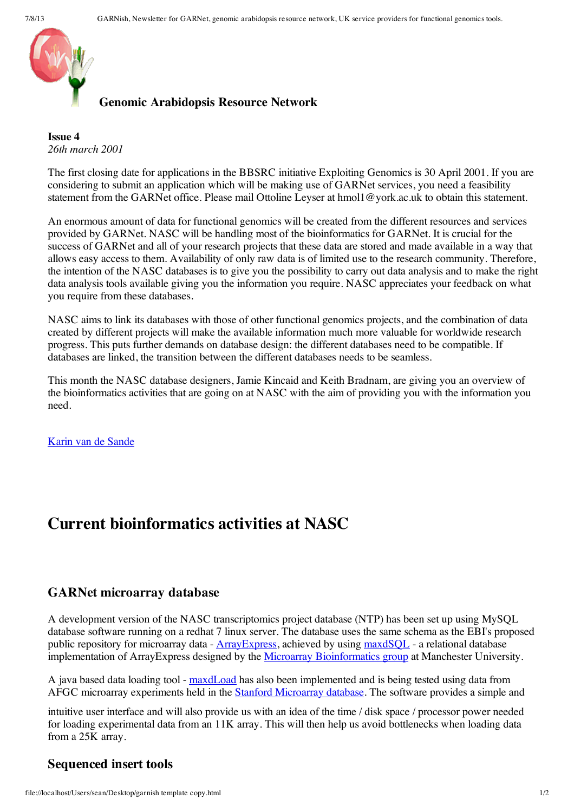

### **Genomic Arabidopsis Resource Network**

**Issue 4** *26th march 2001*

The first closing date for applications in the BBSRC initiative Exploiting Genomics is 30 April 2001. If you are considering to submit an application which will be making use of GARNet services, you need a feasibility statement from the GARNet office. Please mail Ottoline Leyser at hmol1@york.ac.uk to obtain this statement.

An enormous amount of data for functional genomics will be created from the different resources and services provided by GARNet. NASC will be handling most of the bioinformatics for GARNet. It is crucial for the success of GARNet and all of your research projects that these data are stored and made available in a way that allows easy access to them. Availability of only raw data is of limited use to the research community. Therefore, the intention of the NASC databases is to give you the possibility to carry out data analysis and to make the right data analysis tools available giving you the information you require. NASC appreciates your feedback on what you require from these databases.

NASC aims to link its databases with those of other functional genomics projects, and the combination of data created by different projects will make the available information much more valuable for worldwide research progress. This puts further demands on database design: the different databases need to be compatible. If databases are linked, the transition between the different databases needs to be seamless.

This month the NASC database designers, Jamie Kincaid and Keith Bradnam, are giving you an overview of the bioinformatics activities that are going on at NASC with the aim of providing you with the information you need.

Karin van de [Sande](mailto:kvd1@york.ac.uk)

# **Current bioinformatics activities at NASC**

#### **GARNet microarray database**

A development version of the NASC transcriptomics project database (NTP) has been set up using MySQL database software running on a redhat 7 linux server. The database uses the same schema as the EBI's proposed public repository for microarray data -  $\frac{\text{ArrayExpress}}{\text{Suppose}}}$ , achieved by using  $\frac{\text{maxdSOL}}{\text{maxdSOL}}$  - a relational database implementation of ArrayExpress designed by the Microarray [Bioinformatics](file://localhost/web/20011118211213/http://bioinf.man.ac.uk/microarray/) group at Manchester University.

A java based data loading tool - [maxdLoad](file://localhost/web/20011118211213/http://bioinf.man.ac.uk/microarray/maxd/maxdLoad/index.html) has also been implemented and is being tested using data from AFGC microarray experiments held in the Stanford [Microarray](file://localhost/web/20011118211213/http://genome-www4.stanford.edu/MicroArray/SMD/) database. The software provides a simple and

intuitive user interface and will also provide us with an idea of the time / disk space / processor power needed for loading experimental data from an 11K array. This will then help us avoid bottlenecks when loading data from a 25K array.

## **Sequenced insert tools**